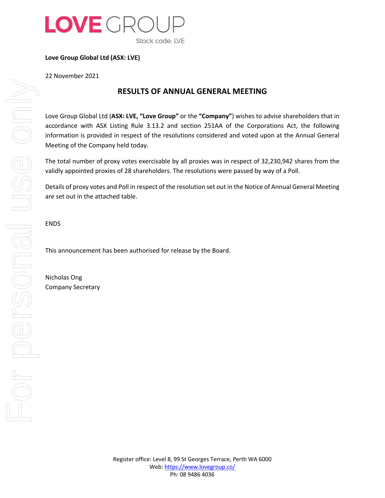

**Love Group Global Ltd (ASX: LVE)**

22 November 2021

## **RESULTS OF ANNUAL GENERAL MEETING**

Love Group Global Ltd (**ASX: LVE, "Love Group"** or the **"Company"**) wishes to advise shareholders that in accordance with ASX Listing Rule 3.13.2 and section 251AA of the Corporations Act, the following information is provided in respect of the resolutions considered and voted upon at the Annual General Meeting of the Company held today.

The total number of proxy votes exercisable by all proxies was in respect of 32,230,942 shares from the validly appointed proxies of 28 shareholders. The resolutions were passed by way of a Poll.

Details of proxy votes and Poll in respect of the resolution set out in the Notice of Annual General Meeting are set out in the attached table.

ENDS

This announcement has been authorised for release by the Board.

Nicholas Ong Company Secretary